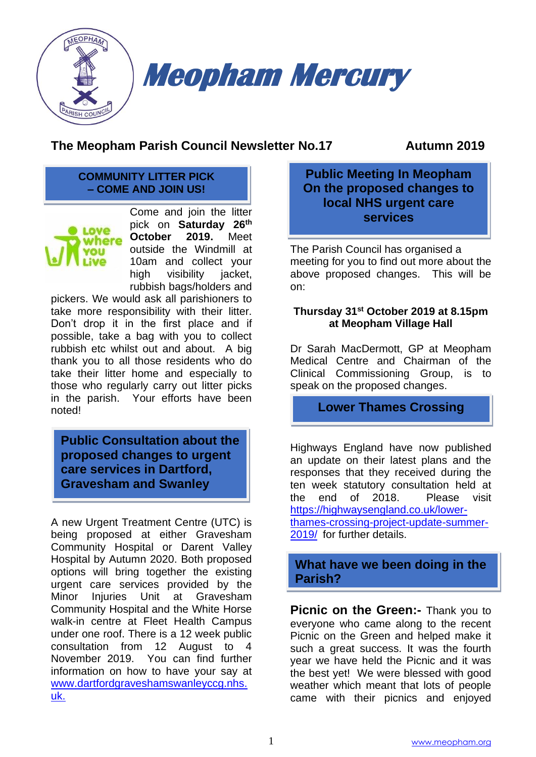

# **The Meopham Parish Council Newsletter No.17 Autumn 2019**

#### **COMMUNITY LITTER PICK – COME AND JOIN US!**



Come and join the litter pick on **Saturday 26th October 2019.** Meet outside the Windmill at 10am and collect your high visibility jacket, rubbish bags/holders and

pickers. We would ask all parishioners to take more responsibility with their litter. Don't drop it in the first place and if possible, take a bag with you to collect rubbish etc whilst out and about. A big thank you to all those residents who do take their litter home and especially to those who regularly carry out litter picks in the parish. Your efforts have been noted!

**Public Consultation about the proposed changes to urgent care services in Dartford, Gravesham and Swanley**

A new Urgent Treatment Centre (UTC) is being proposed at either Gravesham Community Hospital or Darent Valley Hospital by Autumn 2020. Both proposed options will bring together the existing urgent care services provided by the Minor Injuries Unit at Gravesham Community Hospital and the White Horse walk-in centre at Fleet Health Campus under one roof. There is a 12 week public consultation from 12 August to 4 November 2019. You can find further information on how to have your say at [www.dartfordgraveshamswanleyccg.nhs.](http://www.dartfordgraveshamswanleyccg.nhs.uk/) [uk.](http://www.dartfordgraveshamswanleyccg.nhs.uk/)

### **Public Meeting In Meopham On the proposed changes to local NHS urgent care services**

The Parish Council has organised a meeting for you to find out more about the above proposed changes. This will be on:

#### **Thursday 31st October 2019 at 8.15pm at Meopham Village Hall**

Dr Sarah MacDermott, GP at Meopham Medical Centre and Chairman of the Clinical Commissioning Group, is to speak on the proposed changes.

**Lower Thames Crossing**

Highways England have now published an update on their latest plans and the responses that they received during the ten week statutory consultation held at the end of 2018. Please visit [https://highwaysengland.co.uk/lower](https://highwaysengland.co.uk/lower-thames-crossing-project-update-summer-2019/)[thames-crossing-project-update-summer-](https://highwaysengland.co.uk/lower-thames-crossing-project-update-summer-2019/)[2019/](https://highwaysengland.co.uk/lower-thames-crossing-project-update-summer-2019/) for further details.

**What have we been doing in the Parish?**

**Picnic on the Green:-** Thank you to everyone who came along to the recent Picnic on the Green and helped make it such a great success. It was the fourth year we have held the Picnic and it was the best yet! We were blessed with good weather which meant that lots of people came with their picnics and enjoyed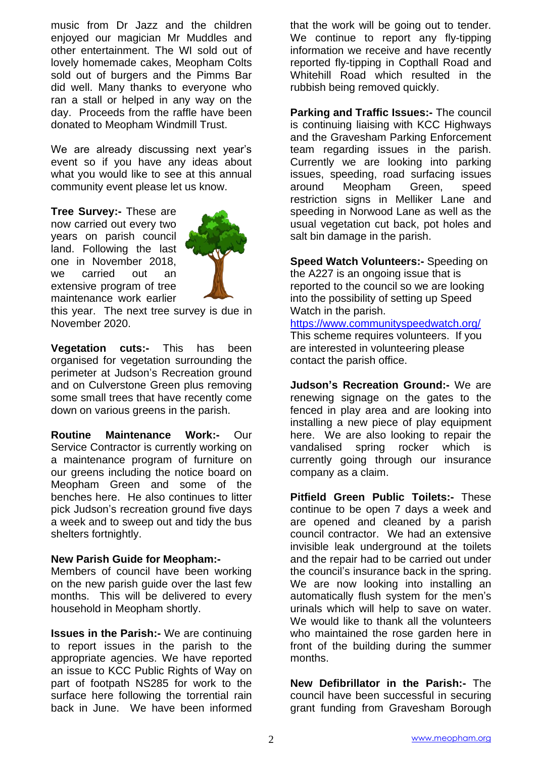music from Dr Jazz and the children enjoyed our magician Mr Muddles and other entertainment. The WI sold out of lovely homemade cakes, Meopham Colts sold out of burgers and the Pimms Bar did well. Many thanks to everyone who ran a stall or helped in any way on the day. Proceeds from the raffle have been donated to Meopham Windmill Trust.

We are already discussing next year's event so if you have any ideas about what you would like to see at this annual community event please let us know.

**Tree Survey:-** These are now carried out every two years on parish council land. Following the last one in November 2018, we carried out an extensive program of tree maintenance work earlier



this year. The next tree survey is due in November 2020.

**Vegetation cuts:-** This has been organised for vegetation surrounding the perimeter at Judson's Recreation ground and on Culverstone Green plus removing some small trees that have recently come down on various greens in the parish.

**Routine Maintenance Work:-** Our Service Contractor is currently working on a maintenance program of furniture on our greens including the notice board on Meopham Green and some of the benches here. He also continues to litter pick Judson's recreation ground five days a week and to sweep out and tidy the bus shelters fortnightly.

#### **New Parish Guide for Meopham:-**

Members of council have been working on the new parish guide over the last few months. This will be delivered to every household in Meopham shortly.

**Issues in the Parish:-** We are continuing to report issues in the parish to the appropriate agencies. We have reported an issue to KCC Public Rights of Way on part of footpath NS285 for work to the surface here following the torrential rain back in June. We have been informed

that the work will be going out to tender. We continue to report any fly-tipping information we receive and have recently reported fly-tipping in Copthall Road and Whitehill Road which resulted in the rubbish being removed quickly.

**Parking and Traffic Issues:-** The council is continuing liaising with KCC Highways and the Gravesham Parking Enforcement team regarding issues in the parish. Currently we are looking into parking issues, speeding, road surfacing issues around Meopham Green, speed restriction signs in Melliker Lane and speeding in Norwood Lane as well as the usual vegetation cut back, pot holes and salt bin damage in the parish.

**Speed Watch Volunteers:-** Speeding on the A227 is an ongoing issue that is reported to the council so we are looking into the possibility of setting up Speed Watch in the parish.

<https://www.communityspeedwatch.org/> This scheme requires volunteers. If you are interested in volunteering please contact the parish office.

**Judson's Recreation Ground:-** We are renewing signage on the gates to the fenced in play area and are looking into installing a new piece of play equipment here. We are also looking to repair the vandalised spring rocker which is currently going through our insurance company as a claim.

**Pitfield Green Public Toilets:-** These continue to be open 7 days a week and are opened and cleaned by a parish council contractor. We had an extensive invisible leak underground at the toilets and the repair had to be carried out under the council's insurance back in the spring. We are now looking into installing an automatically flush system for the men's urinals which will help to save on water. We would like to thank all the volunteers who maintained the rose garden here in front of the building during the summer months.

**New Defibrillator in the Parish:-** The council have been successful in securing grant funding from Gravesham Borough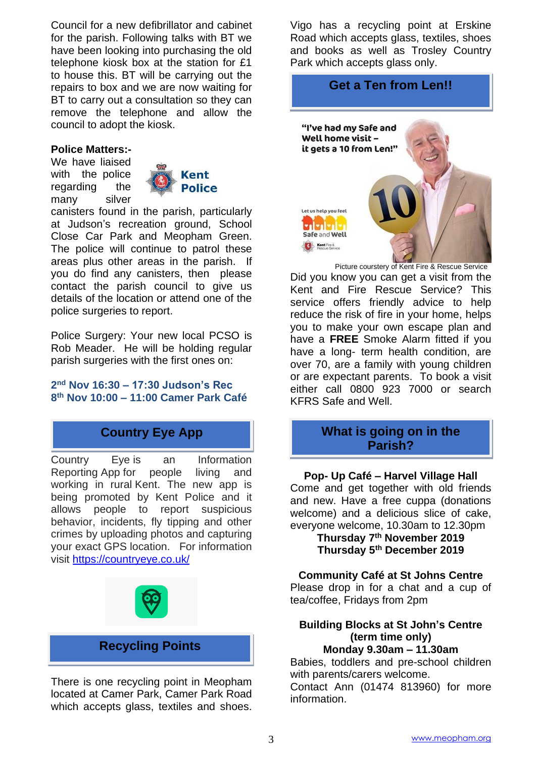Council for a new defibrillator and cabinet for the parish. Following talks with BT we have been looking into purchasing the old telephone kiosk box at the station for £1 to house this. BT will be carrying out the repairs to box and we are now waiting for BT to carry out a consultation so they can remove the telephone and allow the council to adopt the kiosk.

#### **Police Matters:-**

We have liaised with the police regarding the many silver



canisters found in the parish, particularly at Judson's recreation ground, School Close Car Park and Meopham Green. The police will continue to patrol these areas plus other areas in the parish. If you do find any canisters, then please contact the parish council to give us details of the location or attend one of the police surgeries to report.

Police Surgery: Your new local PCSO is Rob Meader. He will be holding regular parish surgeries with the first ones on:

#### **2 nd Nov 16:30 – 17:30 Judson's Rec 8 th Nov 10:00 – 11:00 Camer Park Café**

# **Country Eye App**

Country Eye is an Information Reporting App for people living and working in rural Kent. The new app is being promoted by Kent Police and it allows people to report suspicious behavior, incidents, fly tipping and other crimes by uploading photos and capturing your exact GPS location. For information visit<https://countryeye.co.uk/>



### **Recycling Points**

There is one recycling point in Meopham located at Camer Park, Camer Park Road which accepts glass, textiles and shoes.

Vigo has a recycling point at Erskine Road which accepts glass, textiles, shoes and books as well as Trosley Country Park which accepts glass only.

## **Get a Ten from Len!!**



Picture courstery of Kent Fire & Rescue Service Did you know you can get a visit from the Kent and Fire Rescue Service? This service offers friendly advice to help reduce the risk of fire in your home, helps you to make your own escape plan and have a **FREE** Smoke Alarm fitted if you have a long- term health condition, are over 70, are a family with young children or are expectant parents. To book a visit either call 0800 923 7000 or search KFRS Safe and Well.

#### **What is going on in the Parish?**

**Pop- Up Café – Harvel Village Hall** Come and get together with old friends and new. Have a free cuppa (donations welcome) and a delicious slice of cake, everyone welcome, 10.30am to 12.30pm

> **Thursday 7th November 2019 Thursday 5th December 2019**

**Community Café at St Johns Centre** Please drop in for a chat and a cup of

tea/coffee, Fridays from 2pm

#### **Building Blocks at St John's Centre (term time only) Monday 9.30am – 11.30am**

Babies, toddlers and pre-school children with parents/carers welcome. Contact Ann (01474 813960) for more information.